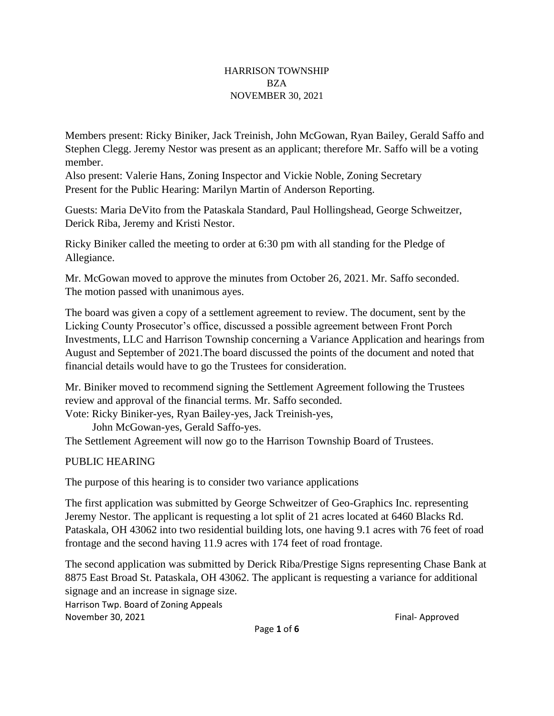#### HARRISON TOWNSHIP BZA NOVEMBER 30, 2021

Members present: Ricky Biniker, Jack Treinish, John McGowan, Ryan Bailey, Gerald Saffo and Stephen Clegg. Jeremy Nestor was present as an applicant; therefore Mr. Saffo will be a voting member.

Also present: Valerie Hans, Zoning Inspector and Vickie Noble, Zoning Secretary Present for the Public Hearing: Marilyn Martin of Anderson Reporting.

Guests: Maria DeVito from the Pataskala Standard, Paul Hollingshead, George Schweitzer, Derick Riba, Jeremy and Kristi Nestor.

Ricky Biniker called the meeting to order at 6:30 pm with all standing for the Pledge of Allegiance.

Mr. McGowan moved to approve the minutes from October 26, 2021. Mr. Saffo seconded. The motion passed with unanimous ayes.

The board was given a copy of a settlement agreement to review. The document, sent by the Licking County Prosecutor's office, discussed a possible agreement between Front Porch Investments, LLC and Harrison Township concerning a Variance Application and hearings from August and September of 2021.The board discussed the points of the document and noted that financial details would have to go the Trustees for consideration.

Mr. Biniker moved to recommend signing the Settlement Agreement following the Trustees review and approval of the financial terms. Mr. Saffo seconded.

Vote: Ricky Biniker-yes, Ryan Bailey-yes, Jack Treinish-yes,

John McGowan-yes, Gerald Saffo-yes.

The Settlement Agreement will now go to the Harrison Township Board of Trustees.

# PUBLIC HEARING

The purpose of this hearing is to consider two variance applications

The first application was submitted by George Schweitzer of Geo-Graphics Inc. representing Jeremy Nestor. The applicant is requesting a lot split of 21 acres located at 6460 Blacks Rd. Pataskala, OH 43062 into two residential building lots, one having 9.1 acres with 76 feet of road frontage and the second having 11.9 acres with 174 feet of road frontage.

The second application was submitted by Derick Riba/Prestige Signs representing Chase Bank at 8875 East Broad St. Pataskala, OH 43062. The applicant is requesting a variance for additional signage and an increase in signage size.

Harrison Twp. Board of Zoning Appeals November 30, 2021 **Final-** Approved **Final-** Approved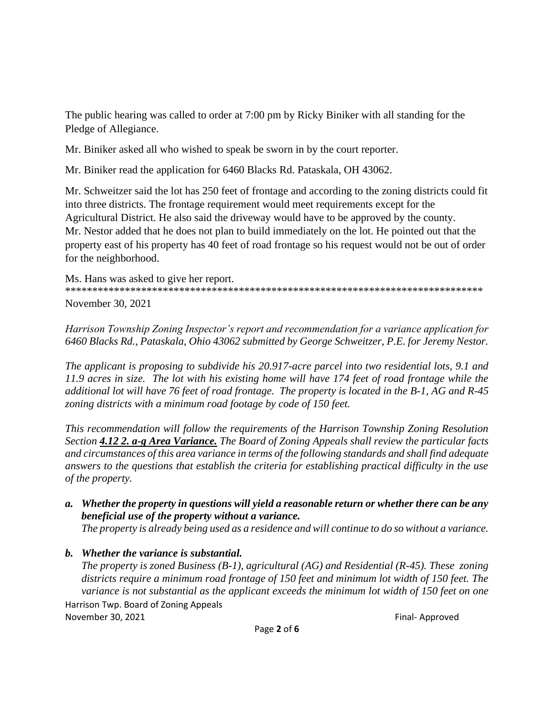The public hearing was called to order at 7:00 pm by Ricky Biniker with all standing for the Pledge of Allegiance.

Mr. Biniker asked all who wished to speak be sworn in by the court reporter.

Mr. Biniker read the application for 6460 Blacks Rd. Pataskala, OH 43062.

Mr. Schweitzer said the lot has 250 feet of frontage and according to the zoning districts could fit into three districts. The frontage requirement would meet requirements except for the Agricultural District. He also said the driveway would have to be approved by the county. Mr. Nestor added that he does not plan to build immediately on the lot. He pointed out that the property east of his property has 40 feet of road frontage so his request would not be out of order for the neighborhood.

Ms. Hans was asked to give her report. \*\*\*\*\*\*\*\*\*\*\*\*\*\*\*\*\*\*\*\*\*\*\*\*\*\*\*\*\*\*\*\*\*\*\*\*\*\*\*\*\*\*\*\*\*\*\*\*\*\*\*\*\*\*\*\*\*\*\*\*\*\*\*\*\*\*\*\*\*\*\*\*\*\*\*\*\* November 30, 2021

*Harrison Township Zoning Inspector's report and recommendation for a variance application for 6460 Blacks Rd., Pataskala, Ohio 43062 submitted by George Schweitzer, P.E. for Jeremy Nestor.*

*The applicant is proposing to subdivide his 20.917-acre parcel into two residential lots, 9.1 and 11.9 acres in size. The lot with his existing home will have 174 feet of road frontage while the additional lot will have 76 feet of road frontage. The property is located in the B-1, AG and R-45 zoning districts with a minimum road footage by code of 150 feet.*

*This recommendation will follow the requirements of the Harrison Township Zoning Resolution Section 4.12 2. a-g Area Variance. The Board of Zoning Appeals shall review the particular facts and circumstances of this area variance in terms of the following standards and shall find adequate answers to the questions that establish the criteria for establishing practical difficulty in the use of the property.*

*a. Whether the property in questions will yield a reasonable return or whether there can be any beneficial use of the property without a variance.*

*The property is already being used as a residence and will continue to do so without a variance.*

*b. Whether the variance is substantial.*

Harrison Twp. Board of Zoning Appeals November 30, 2021 **Final-** Approved **Final-** Approved *The property is zoned Business (B-1), agricultural (AG) and Residential (R-45). These zoning districts require a minimum road frontage of 150 feet and minimum lot width of 150 feet. The variance is not substantial as the applicant exceeds the minimum lot width of 150 feet on one*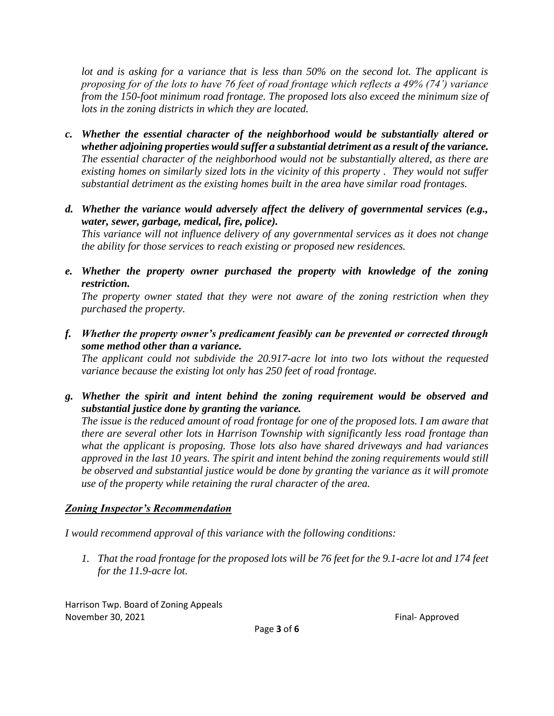*lot and is asking for a variance that is less than 50% on the second lot. The applicant is proposing for of the lots to have 76 feet of road frontage which reflects a 49% (74') variance from the 150-foot minimum road frontage. The proposed lots also exceed the minimum size of lots in the zoning districts in which they are located.*

- *c. Whether the essential character of the neighborhood would be substantially altered or whether adjoining properties would suffer a substantial detriment as a result of the variance. The essential character of the neighborhood would not be substantially altered, as there are existing homes on similarly sized lots in the vicinity of this property . They would not suffer substantial detriment as the existing homes built in the area have similar road frontages.*
- *d. Whether the variance would adversely affect the delivery of governmental services (e.g., water, sewer, garbage, medical, fire, police).*

*This variance will not influence delivery of any governmental services as it does not change the ability for those services to reach existing or proposed new residences.*

*e. Whether the property owner purchased the property with knowledge of the zoning restriction.*

*The property owner stated that they were not aware of the zoning restriction when they purchased the property.*

*f. Whether the property owner's predicament feasibly can be prevented or corrected through some method other than a variance.*

*The applicant could not subdivide the 20.917-acre lot into two lots without the requested variance because the existing lot only has 250 feet of road frontage.*

*g. Whether the spirit and intent behind the zoning requirement would be observed and substantial justice done by granting the variance.*

*The issue is the reduced amount of road frontage for one of the proposed lots. I am aware that there are several other lots in Harrison Township with significantly less road frontage than what the applicant is proposing. Those lots also have shared driveways and had variances approved in the last 10 years. The spirit and intent behind the zoning requirements would still be observed and substantial justice would be done by granting the variance as it will promote use of the property while retaining the rural character of the area.*

## *Zoning Inspector's Recommendation*

*I would recommend approval of this variance with the following conditions:*

*1. That the road frontage for the proposed lots will be 76 feet for the 9.1-acre lot and 174 feet for the 11.9-acre lot.*

Harrison Twp. Board of Zoning Appeals November 30, 2021 **Final-** Approved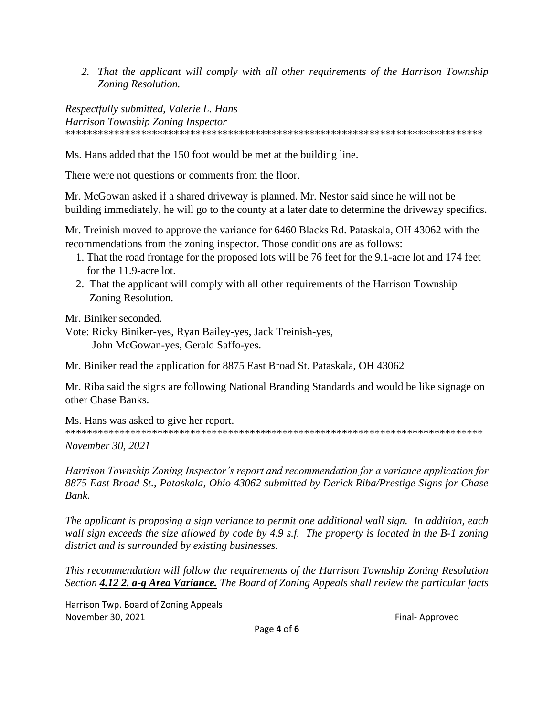2. That the applicant will comply with all other requirements of the Harrison Township Zoning Resolution.

Respectfully submitted, Valerie L. Hans **Harrison Township Zoning Inspector** 

Ms. Hans added that the 150 foot would be met at the building line.

There were not questions or comments from the floor.

Mr. McGowan asked if a shared driveway is planned. Mr. Nestor said since he will not be building immediately, he will go to the county at a later date to determine the driveway specifics.

Mr. Treinish moved to approve the variance for 6460 Blacks Rd. Pataskala, OH 43062 with the recommendations from the zoning inspector. Those conditions are as follows:

- 1. That the road frontage for the proposed lots will be 76 feet for the 9.1-acre lot and 174 feet for the 11.9-acre lot.
- 2. That the applicant will comply with all other requirements of the Harrison Township Zoning Resolution.

Mr. Biniker seconded.

Vote: Ricky Biniker-yes, Ryan Bailey-yes, Jack Treinish-yes, John McGowan-yes, Gerald Saffo-yes.

Mr. Biniker read the application for 8875 East Broad St. Pataskala, OH 43062

Mr. Riba said the signs are following National Branding Standards and would be like signage on other Chase Banks

Ms. Hans was asked to give her report. 

*November 30, 2021* 

Harrison Township Zoning Inspector's report and recommendation for a variance application for 8875 East Broad St., Pataskala, Ohio 43062 submitted by Derick Riba/Prestige Signs for Chase Bank.

The applicant is proposing a sign variance to permit one additional wall sign. In addition, each wall sign exceeds the size allowed by code by 4.9 s.f. The property is located in the B-1 zoning district and is surrounded by existing businesses.

This recommendation will follow the requirements of the Harrison Township Zoning Resolution Section 4.12 2. a-g Area Variance. The Board of Zoning Appeals shall review the particular facts

Harrison Twp. Board of Zoning Appeals November 30, 2021

Final-Approved

Page 4 of 6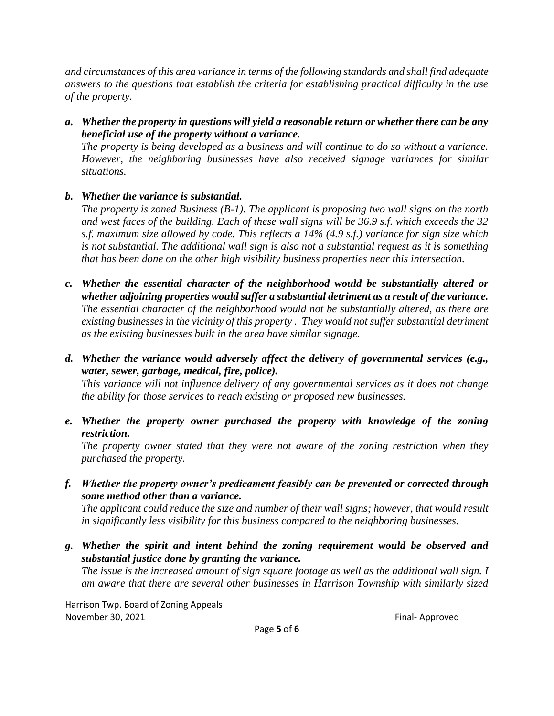*and circumstances of this area variance in terms of the following standards and shall find adequate answers to the questions that establish the criteria for establishing practical difficulty in the use of the property.*

*a. Whether the property in questions will yield a reasonable return or whether there can be any beneficial use of the property without a variance.*

*The property is being developed as a business and will continue to do so without a variance. However, the neighboring businesses have also received signage variances for similar situations.*

## *b. Whether the variance is substantial.*

*The property is zoned Business (B-1). The applicant is proposing two wall signs on the north and west faces of the building. Each of these wall signs will be 36.9 s.f. which exceeds the 32 s.f. maximum size allowed by code. This reflects a 14% (4.9 s.f.) variance for sign size which is not substantial. The additional wall sign is also not a substantial request as it is something that has been done on the other high visibility business properties near this intersection.*

- *c. Whether the essential character of the neighborhood would be substantially altered or whether adjoining properties would suffer a substantial detriment as a result of the variance. The essential character of the neighborhood would not be substantially altered, as there are existing businesses in the vicinity of this property . They would not suffer substantial detriment as the existing businesses built in the area have similar signage.*
- *d. Whether the variance would adversely affect the delivery of governmental services (e.g., water, sewer, garbage, medical, fire, police).*

*This variance will not influence delivery of any governmental services as it does not change the ability for those services to reach existing or proposed new businesses.*

*e. Whether the property owner purchased the property with knowledge of the zoning restriction.*

*The property owner stated that they were not aware of the zoning restriction when they purchased the property.*

*f. Whether the property owner's predicament feasibly can be prevented or corrected through some method other than a variance.*

*The applicant could reduce the size and number of their wall signs; however, that would result in significantly less visibility for this business compared to the neighboring businesses.*

*g. Whether the spirit and intent behind the zoning requirement would be observed and substantial justice done by granting the variance.*

*The issue is the increased amount of sign square footage as well as the additional wall sign. I am aware that there are several other businesses in Harrison Township with similarly sized* 

Harrison Twp. Board of Zoning Appeals November 30, 2021 **Final-** Approved **Final-** Approved